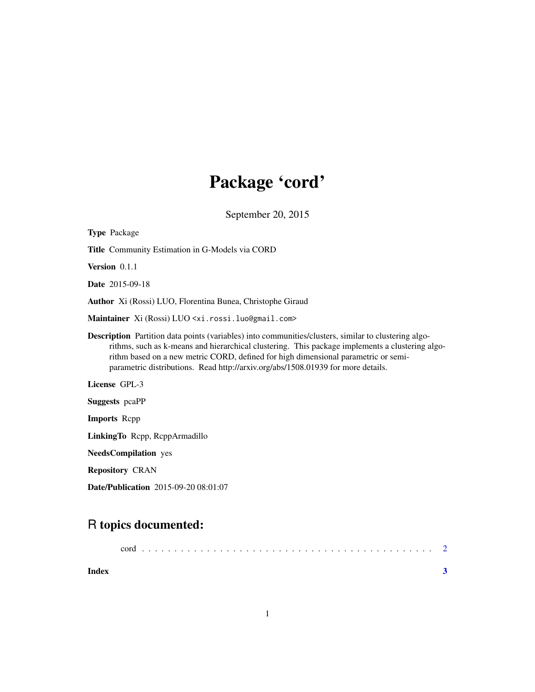## Package 'cord'

September 20, 2015

| <b>Type Package</b>                                                                                                                                                                                                                                                                                                                                                                      |  |  |
|------------------------------------------------------------------------------------------------------------------------------------------------------------------------------------------------------------------------------------------------------------------------------------------------------------------------------------------------------------------------------------------|--|--|
| Title Community Estimation in G-Models via CORD                                                                                                                                                                                                                                                                                                                                          |  |  |
| Version 0.1.1                                                                                                                                                                                                                                                                                                                                                                            |  |  |
| <b>Date</b> 2015-09-18                                                                                                                                                                                                                                                                                                                                                                   |  |  |
| <b>Author</b> Xi (Rossi) LUO, Florentina Bunea, Christophe Giraud                                                                                                                                                                                                                                                                                                                        |  |  |
| Maintainer Xi (Rossi) LUO <xi.rossi.luo@gmail.com></xi.rossi.luo@gmail.com>                                                                                                                                                                                                                                                                                                              |  |  |
| <b>Description</b> Partition data points (variables) into communities/clusters, similar to clustering algo-<br>rithms, such as k-means and hierarchical clustering. This package implements a clustering algo-<br>rithm based on a new metric CORD, defined for high dimensional parametric or semi-<br>parametric distributions. Read http://arxiv.org/abs/1508.01939 for more details. |  |  |
| License GPL-3                                                                                                                                                                                                                                                                                                                                                                            |  |  |
| <b>Suggests</b> peaPP                                                                                                                                                                                                                                                                                                                                                                    |  |  |
| <b>Imports</b> Repp                                                                                                                                                                                                                                                                                                                                                                      |  |  |
| LinkingTo Repp, ReppArmadillo                                                                                                                                                                                                                                                                                                                                                            |  |  |
| <b>NeedsCompilation</b> yes                                                                                                                                                                                                                                                                                                                                                              |  |  |
| <b>Repository CRAN</b>                                                                                                                                                                                                                                                                                                                                                                   |  |  |
| <b>Date/Publication</b> 2015-09-20 08:01:07                                                                                                                                                                                                                                                                                                                                              |  |  |

### R topics documented:

| Index |  |
|-------|--|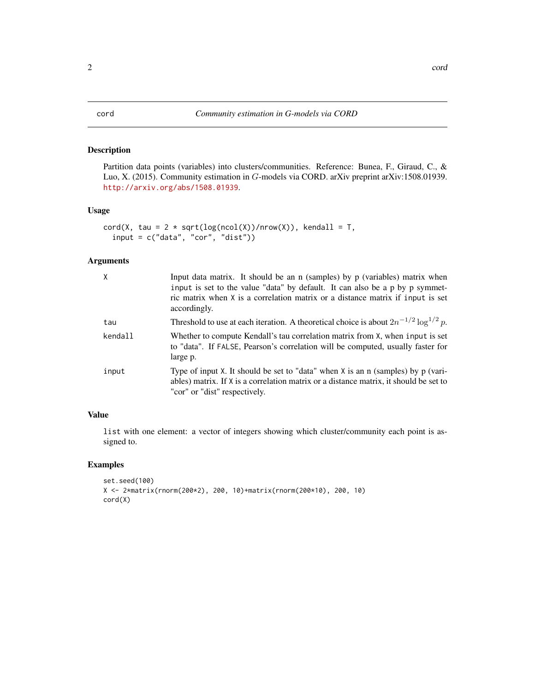### <span id="page-1-0"></span>Description

Partition data points (variables) into clusters/communities. Reference: Bunea, F., Giraud, C., & Luo, X. (2015). Community estimation in G-models via CORD. arXiv preprint arXiv:1508.01939. <http://arxiv.org/abs/1508.01939>.

#### Usage

```
cord(X, tau = 2 * sqrt(log(ncol(X)) / nrow(X)), kendall = T,
  input = c("data", "cor", "dist"))
```
#### Arguments

| $\mathsf{X}$ | Input data matrix. It should be an $n$ (samples) by $p$ (variables) matrix when<br>input is set to the value "data" by default. It can also be a p by p symmet-<br>ric matrix when X is a correlation matrix or a distance matrix if input is set<br>accordingly. |
|--------------|-------------------------------------------------------------------------------------------------------------------------------------------------------------------------------------------------------------------------------------------------------------------|
| tau          | Threshold to use at each iteration. A theoretical choice is about $2n^{-1/2} \log^{1/2} p$ .                                                                                                                                                                      |
| kendall      | Whether to compute Kendall's tau correlation matrix from X, when input is set<br>to "data". If FALSE, Pearson's correlation will be computed, usually faster for<br>large p.                                                                                      |
| input        | Type of input X. It should be set to "data" when X is an n (samples) by p (vari-<br>ables) matrix. If X is a correlation matrix or a distance matrix, it should be set to<br>"cor" or "dist" respectively.                                                        |

### Value

list with one element: a vector of integers showing which cluster/community each point is assigned to.

### Examples

```
set.seed(100)
X <- 2*matrix(rnorm(200*2), 200, 10)+matrix(rnorm(200*10), 200, 10)
cord(X)
```